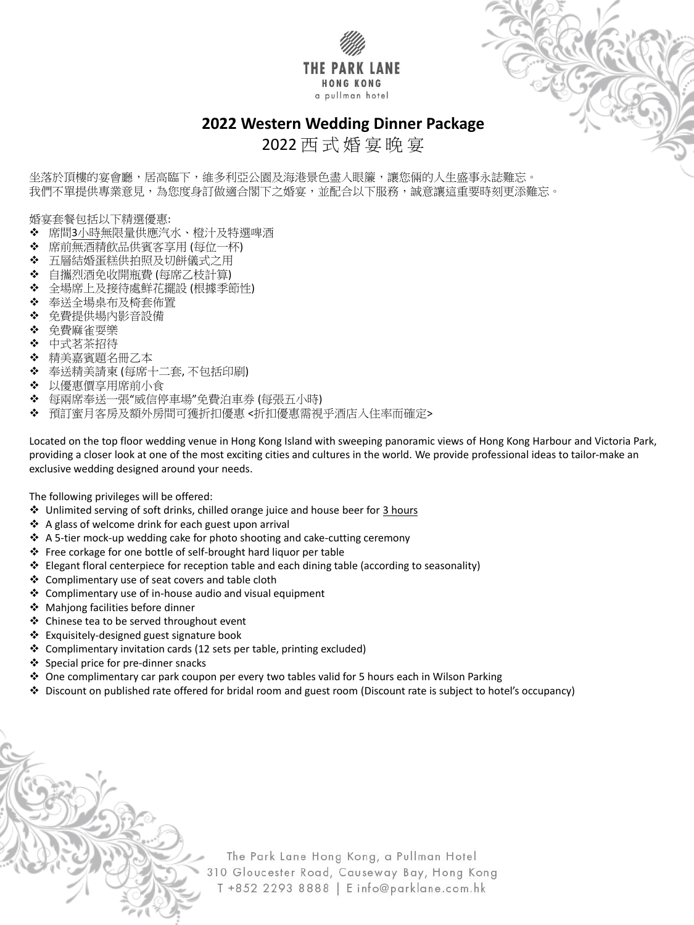



坐落於頂樓的宴會廳,居高臨下,維多利亞公園及海港景色盡入眼簾,讓您倆的人生盛事永誌難忘。 我們不單提供專業意見,為您度身訂做適合閣下之婚宴,並配合以下服務,誠意讓這重要時刻更添難忘。

2022 西 式 婚 宴 晚 宴

婚宴套餐包括以下精選優惠:

- ❖ 席間<u>3小時</u>無限量供應汽水、橙汁及特選啤酒
- 席前無酒精飲品供賓客享用 (每位一杯)
- ◆ 五層結婚蛋糕供拍照及切餅儀式之用
- 自攜烈酒免收開瓶費 (每席乙枝計算)
- 全場席上及接待處鮮花擺設 (根據季節性)
- 奉送全場桌布及椅套佈置
- 免費提供場內影音設備
- 免費麻雀耍樂
- ❖ 中式茗茶招待
- ◆ 精美嘉賓題名冊乙本
- 奉送精美請柬 (每席十二套, 不包括印刷)
- 以優惠價享用席前小食
- ◆ 每兩席奉送一張"威信停車場"免費泊車券 (每張五小時)
- ◆ 預訂蜜月客房及額外房間可獲折扣優惠 <折扣優惠需視乎酒店入住率而確定>

Located on the top floor wedding venue in Hong Kong Island with sweeping panoramic views of Hong Kong Harbour and Victoria Park, providing a closer look at one of the most exciting cities and cultures in the world. We provide professional ideas to tailor-make an exclusive wedding designed around your needs.

The following privileges will be offered:

- ◆ Unlimited serving of soft drinks, chilled orange juice and house beer for 3 hours
- ❖ A glass of welcome drink for each guest upon arrival
- ❖ A 5-tier mock-up wedding cake for photo shooting and cake-cutting ceremony
- Free corkage for one bottle of self-brought hard liquor per table
- Elegant floral centerpiece for reception table and each dining table (according to seasonality)
- ❖ Complimentary use of seat covers and table cloth
- Complimentary use of in-house audio and visual equipment
- ◆ Mahjong facilities before dinner
- ❖ Chinese tea to be served throughout event
- Exquisitely-designed guest signature book
- Complimentary invitation cards (12 sets per table, printing excluded)
- 
- Special price for pre-dinner snacks
- ◆ One complimentary car park coupon per every two tables valid for 5 hours each in Wilson Parking
- Discount on published rate offered for bridal room and guest room (Discount rate is subject to hotel's occupancy)

The Park Lane Hong Kong, a Pullman Hotel 310 Gloucester Road, Causeway Bay, Hong Kong T +852 2293 8888 | E info@parklane.com.hk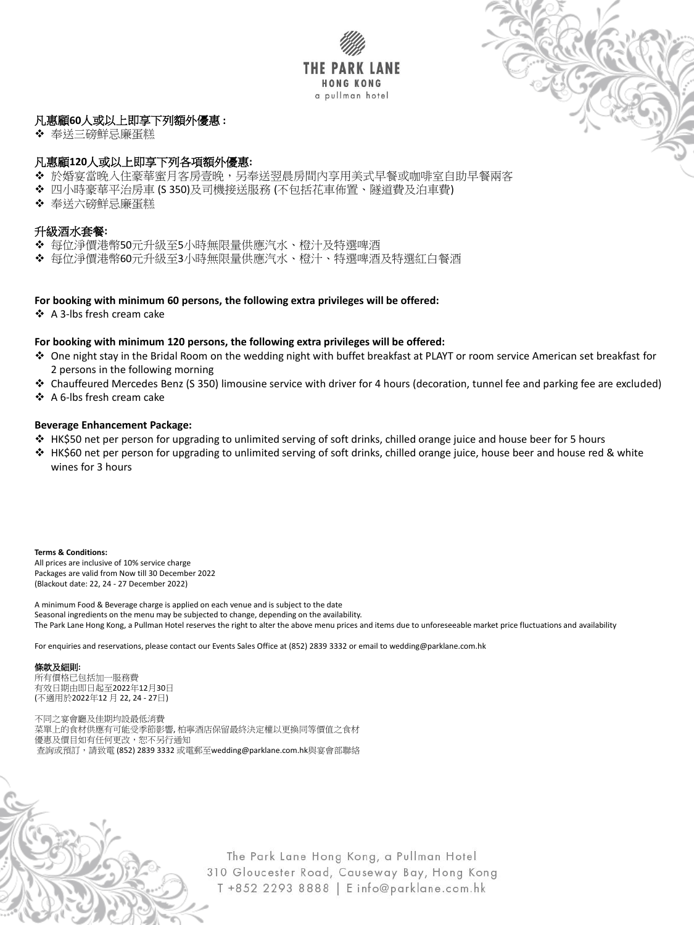



# 凡惠顧**60**人或以上即享下列額外優惠 **:**

◆ 奉送三磅鮮忌廉蛋糕

# 凡惠顧**120**人或以上即享下列各項額外優惠**:**

- ◆ 於婚宴當晚入住豪華蜜月客房壹晚,另奉送翌晨房間內享用美式早餐或咖啡室自助早餐兩客
- 四小時豪華平治房車 (S 350)及司機接送服務 (不包括花車佈置、隧道費及泊車費)
- 奉送六磅鮮忌廉蛋糕

## 升級酒水套餐**:**

- 每位淨價港幣50元升級至5小時無限量供應汽水、橙汁及特選啤酒
- 每位淨價港幣60元升級至3小時無限量供應汽水、橙汁、特選啤酒及特選紅白餐酒

- One night stay in the Bridal Room on the wedding night with buffet breakfast at PLAYT or room service American set breakfast for 2 persons in the following morning
- Chauffeured Mercedes Benz (S 350) limousine service with driver for 4 hours (decoration, tunnel fee and parking fee are excluded)
- ❖ A 6-lbs fresh cream cake

#### **For booking with minimum 60 persons, the following extra privileges will be offered:**

❖ A 3-lbs fresh cream cake

#### **For booking with minimum 120 persons, the following extra privileges will be offered:**

#### **Beverage Enhancement Package:**

- HK\$50 net per person for upgrading to unlimited serving of soft drinks, chilled orange juice and house beer for 5 hours
- HK\$60 net per person for upgrading to unlimited serving of soft drinks, chilled orange juice, house beer and house red & white wines for 3 hours

**Terms & Conditions:**

All prices are inclusive of 10% service charge Packages are valid from Now till 30 December 2022 (Blackout date: 22, 24 - 27 December 2022)

A minimum Food & Beverage charge is applied on each venue and is subject to the date Seasonal ingredients on the menu may be subjected to change, depending on the availability. The Park Lane Hong Kong, a Pullman Hotel reserves the right to alter the above menu prices and items due to unforeseeable market price fluctuations and availability

For enquiries and reservations, please contact our Events Sales Office at (852) 2839 3332 or email to wedding@parklane.com.hk

#### 條款及細則**:**

所有價格已包括加一服務費 有效日期由即日起至2022年12月30日 (不適用於2022年12 月 22, 24 - 27日)

不同之宴會廳及佳期均設最低消費 菜單上的食材供應有可能受季節影響, 柏寧酒店保留最終決定權以更換同等價值之食材 優惠及價目如有任何更改,恕不另行通知 查詢或預訂,請致電 (852) 2839 3332 或電郵至wedding@parklane.com.hk與宴會部聯絡

> The Park Lane Hong Kong, a Pullman Hotel 310 Gloucester Road, Causeway Bay, Hong Kong T +852 2293 8888 | E info@parklane.com.hk